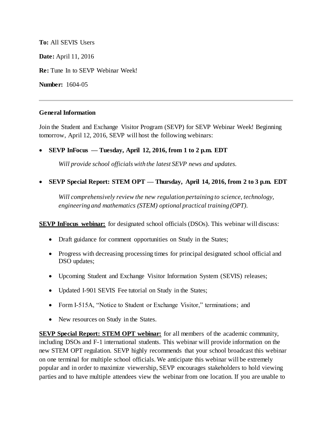**To:** All SEVIS Users **Date:** April 11, 2016 **Re:** Tune In to SEVP Webinar Week! **Number:** 1604-05

## **General Information**

Join the Student and Exchange Visitor Program (SEVP) for SEVP Webinar Week! Beginning tomorrow, April 12, 2016, SEVP will host the following webinars:

**SEVP InFocus — Tuesday, April 12, 2016, from 1 to 2 p.m. EDT**

*Will provide school officials with the latest SEVP news and updates.* 

**SEVP Special Report: STEM OPT — Thursday, April 14, 2016, from 2 to 3 p.m. EDT**

*Will comprehensively review the new regulation pertaining to science, technology, engineering and mathematics (STEM) optional practical training (OPT).* 

**SEVP InFocus webinar:** for designated school officials (DSOs). This webinar will discuss:

- Draft guidance for comment opportunities on Study in the States;
- Progress with decreasing processing times for principal designated school official and DSO updates;
- Upcoming Student and Exchange Visitor Information System (SEVIS) releases;
- Updated I-901 SEVIS Fee tutorial on Study in the States;
- Form I-515A, "Notice to Student or Exchange Visitor," terminations; and
- New resources on Study in the States.

**SEVP Special Report: STEM OPT webinar:** for all members of the academic community, including DSOs and F-1 international students. This webinar will provide information on the new STEM OPT regulation. SEVP highly recommends that your school broadcast this webinar on one terminal for multiple school officials. We anticipate this webinar will be extremely popular and in order to maximize viewership, SEVP encourages stakeholders to hold viewing parties and to have multiple attendees view the webinar from one location. If you are unable to